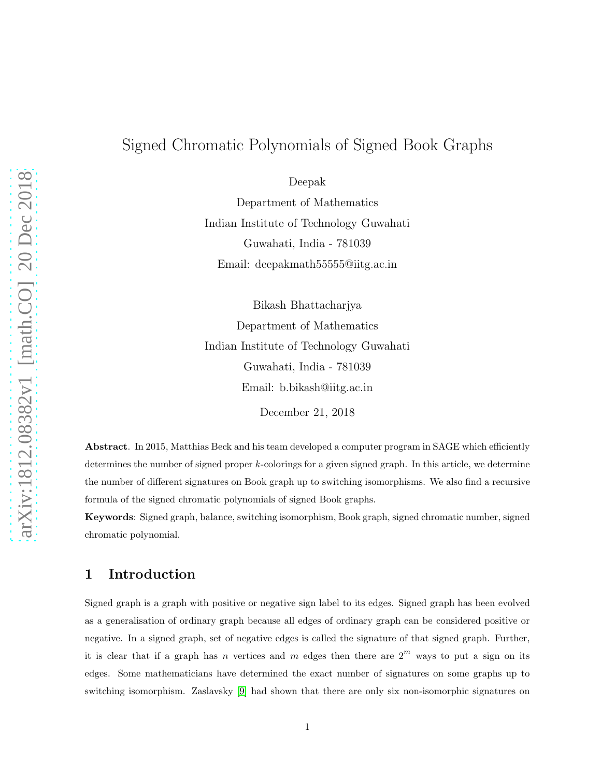# Signed Chromatic Polynomials of Signed Book Graphs

Deepak

Department of Mathematics Indian Institute of Technology Guwahati Guwahati, India - 781039 Email: deepakmath55555@iitg.ac.in

Bikash Bhattacharjya Department of Mathematics Indian Institute of Technology Guwahati Guwahati, India - 781039 Email: b.bikash@iitg.ac.in

December 21, 2018

Abstract. In 2015, Matthias Beck and his team developed a computer program in SAGE which efficiently determines the number of signed proper k-colorings for a given signed graph. In this article, we determine the number of different signatures on Book graph up to switching isomorphisms. We also find a recursive formula of the signed chromatic polynomials of signed Book graphs.

Keywords: Signed graph, balance, switching isomorphism, Book graph, signed chromatic number, signed chromatic polynomial.

## 1 Introduction

Signed graph is a graph with positive or negative sign label to its edges. Signed graph has been evolved as a generalisation of ordinary graph because all edges of ordinary graph can be considered positive or negative. In a signed graph, set of negative edges is called the signature of that signed graph. Further, it is clear that if a graph has n vertices and m edges then there are  $2^m$  ways to put a sign on its edges. Some mathematicians have determined the exact number of signatures on some graphs up to switching isomorphism. Zaslavsky [\[9\]](#page-16-0) had shown that there are only six non-isomorphic signatures on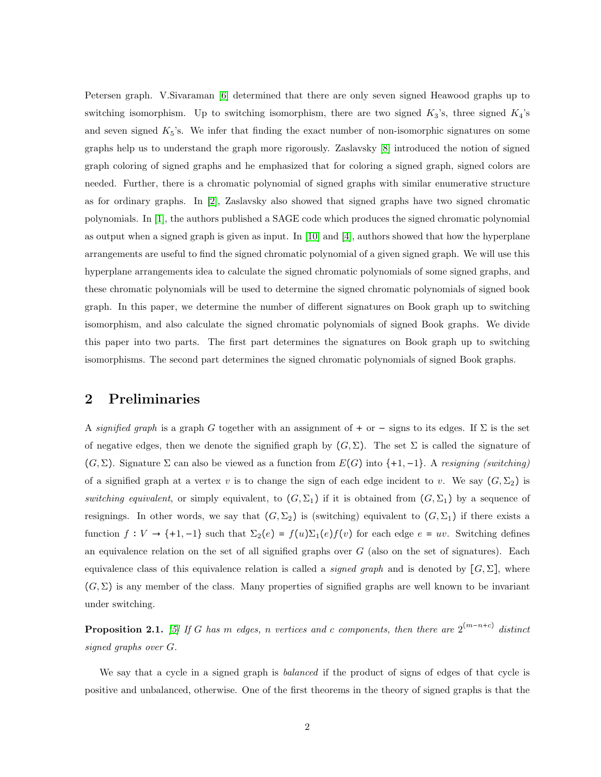Petersen graph. V.Sivaraman [\[6\]](#page-16-1) determined that there are only seven signed Heawood graphs up to switching isomorphism. Up to switching isomorphism, there are two signed  $K_3$ 's, three signed  $K_4$ 's and seven signed  $K_5$ 's. We infer that finding the exact number of non-isomorphic signatures on some graphs help us to understand the graph more rigorously. Zaslavsky [\[8\]](#page-16-2) introduced the notion of signed graph coloring of signed graphs and he emphasized that for coloring a signed graph, signed colors are needed. Further, there is a chromatic polynomial of signed graphs with similar enumerative structure as for ordinary graphs. In [\[2\]](#page-16-3), Zaslavsky also showed that signed graphs have two signed chromatic polynomials. In [\[1\]](#page-16-4), the authors published a SAGE code which produces the signed chromatic polynomial as output when a signed graph is given as input. In [\[10\]](#page-16-5) and [\[4\]](#page-16-6), authors showed that how the hyperplane arrangements are useful to find the signed chromatic polynomial of a given signed graph. We will use this hyperplane arrangements idea to calculate the signed chromatic polynomials of some signed graphs, and these chromatic polynomials will be used to determine the signed chromatic polynomials of signed book graph. In this paper, we determine the number of different signatures on Book graph up to switching isomorphism, and also calculate the signed chromatic polynomials of signed Book graphs. We divide this paper into two parts. The first part determines the signatures on Book graph up to switching isomorphisms. The second part determines the signed chromatic polynomials of signed Book graphs.

### 2 Preliminaries

A *signified graph* is a graph G together with an assignment of + or − signs to its edges. If  $\Sigma$  is the set of negative edges, then we denote the signified graph by  $(G, \Sigma)$ . The set  $\Sigma$  is called the signature of (G, Σ). Signature Σ can also be viewed as a function from E(G) into {+1, −1}. A *resigning (switching)* of a signified graph at a vertex v is to change the sign of each edge incident to v. We say  $(G, \Sigma_2)$  is *switching equivalent*, or simply equivalent, to  $(G, \Sigma_1)$  if it is obtained from  $(G, \Sigma_1)$  by a sequence of resignings. In other words, we say that  $(G, \Sigma_2)$  is (switching) equivalent to  $(G, \Sigma_1)$  if there exists a function  $f: V \to \{+1, -1\}$  such that  $\Sigma_2(e) = f(u)\Sigma_1(e)f(v)$  for each edge  $e = uv$ . Switching defines an equivalence relation on the set of all signified graphs over  $G$  (also on the set of signatures). Each equivalence class of this equivalence relation is called a *signed graph* and is denoted by  $[G, \Sigma]$ , where  $(G, \Sigma)$  is any member of the class. Many properties of signified graphs are well known to be invariant under switching.

Proposition 2.1. *[\[5\]](#page-16-7) If* G *has* m *edges,* n *vertices and* c *components, then there are* 2 (m−n+c) *distinct signed graphs over* G*.*

We say that a cycle in a signed graph is *balanced* if the product of signs of edges of that cycle is positive and unbalanced, otherwise. One of the first theorems in the theory of signed graphs is that the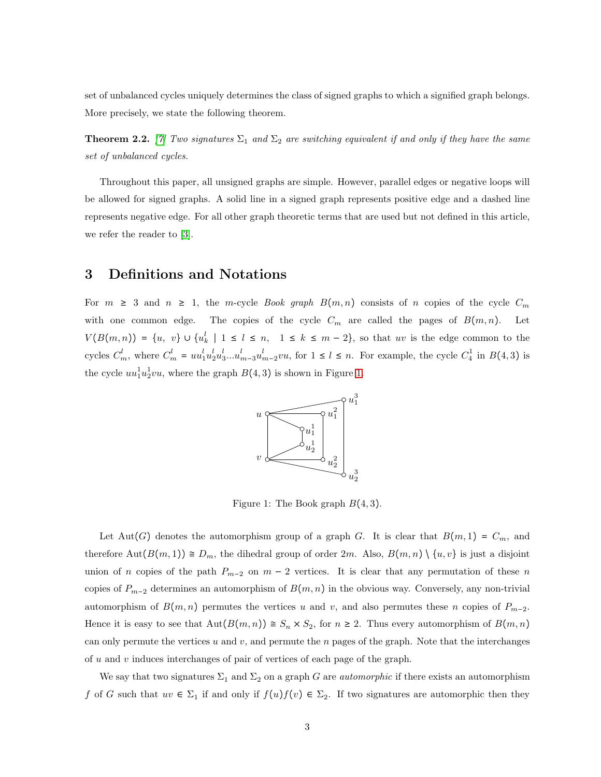set of unbalanced cycles uniquely determines the class of signed graphs to which a signified graph belongs. More precisely, we state the following theorem.

**Theorem 2.2.** [\[7\]](#page-16-8) *Two signatures*  $\Sigma_1$  *and*  $\Sigma_2$  *are switching equivalent if and only if they have the same set of unbalanced cycles.*

Throughout this paper, all unsigned graphs are simple. However, parallel edges or negative loops will be allowed for signed graphs. A solid line in a signed graph represents positive edge and a dashed line represents negative edge. For all other graph theoretic terms that are used but not defined in this article, we refer the reader to [\[3\]](#page-16-9).

## <span id="page-2-1"></span>3 Definitions and Notations

<span id="page-2-0"></span>For  $m \geq 3$  and  $n \geq 1$ , the m-cycle *Book graph*  $B(m, n)$  consists of n copies of the cycle  $C_m$ with one common edge. The copies of the cycle  $C_m$  are called the pages of  $B(m, n)$ . Let  $V(B(m,n)) = \{u, v\} \cup \{u^l_k \mid 1 \leq l \leq n, 1 \leq k \leq m-2\}$ , so that uv is the edge common to the cycles  $C_m^l$ , where  $C_m^l = uu_1^l u_2^l u_3^l ... u_{m-3}^l u_{m-2}^l vu$ , for  $1 \leq l \leq n$ . For example, the cycle  $C_4^1$  in  $B(4,3)$  is the cycle  $uu_1^1u_2^1vu$ , where the graph  $B(4,3)$  is shown in Figure [1.](#page-2-0)



Figure 1: The Book graph  $B(4,3)$ .

Let Aut(G) denotes the automorphism group of a graph G. It is clear that  $B(m, 1) = C_m$ , and therefore  $\text{Aut}(B(m, 1)) \cong D_m$ , the dihedral group of order  $2m$ . Also,  $B(m, n) \setminus \{u, v\}$  is just a disjoint union of n copies of the path  $P_{m-2}$  on  $m-2$  vertices. It is clear that any permutation of these n copies of  $P_{m-2}$  determines an automorphism of  $B(m, n)$  in the obvious way. Conversely, any non-trivial automorphism of  $B(m, n)$  permutes the vertices u and v, and also permutes these n copies of  $P_{m-2}$ . Hence it is easy to see that  $\text{Aut}(B(m, n)) \cong S_n \times S_2$ , for  $n \geq 2$ . Thus every automorphism of  $B(m, n)$ can only permute the vertices u and v, and permute the n pages of the graph. Note that the interchanges of u and v induces interchanges of pair of vertices of each page of the graph.

We say that two signatures  $\Sigma_1$  and  $\Sigma_2$  on a graph G are *automorphic* if there exists an automorphism f of G such that  $uv \in \Sigma_1$  if and only if  $f(u)f(v) \in \Sigma_2$ . If two signatures are automorphic then they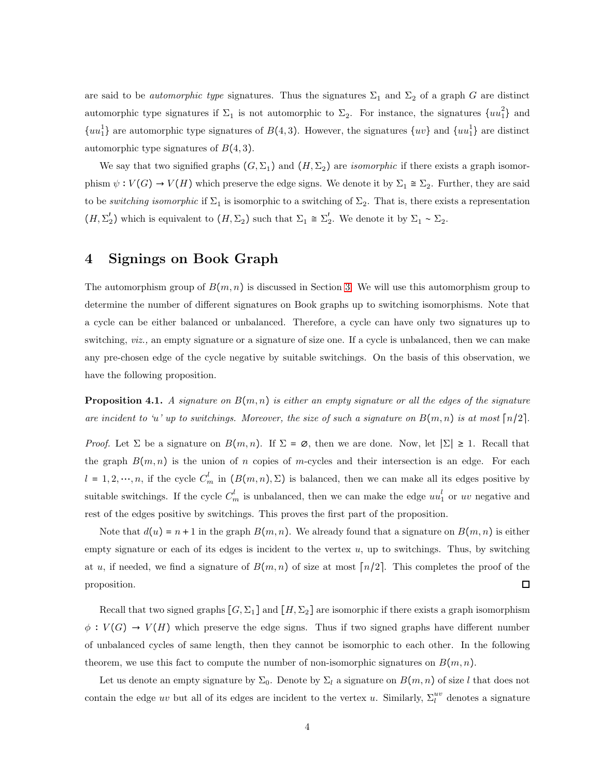are said to be *automorphic type* signatures. Thus the signatures  $\Sigma_1$  and  $\Sigma_2$  of a graph G are distinct automorphic type signatures if  $\Sigma_1$  is not automorphic to  $\Sigma_2$ . For instance, the signatures  $\{uu_1^2\}$  and  ${u_1}$  are automorphic type signatures of  $B(4,3)$ . However, the signatures  ${u_1}$  and  ${u_1}$  are distinct automorphic type signatures of  $B(4,3)$ .

We say that two signified graphs  $(G, \Sigma_1)$  and  $(H, \Sigma_2)$  are *isomorphic* if there exists a graph isomorphism  $\psi : V(G) \to V(H)$  which preserve the edge signs. We denote it by  $\Sigma_1 \cong \Sigma_2$ . Further, they are said to be *switching isomorphic* if  $\Sigma_1$  is isomorphic to a switching of  $\Sigma_2$ . That is, there exists a representation  $(H, \Sigma_2')$  which is equivalent to  $(H, \Sigma_2)$  such that  $\Sigma_1 \cong \Sigma_2'$ . We denote it by  $\Sigma_1 \sim \Sigma_2$ .

## 4 Signings on Book Graph

The automorphism group of  $B(m, n)$  is discussed in Section [3.](#page-2-1) We will use this automorphism group to determine the number of different signatures on Book graphs up to switching isomorphisms. Note that a cycle can be either balanced or unbalanced. Therefore, a cycle can have only two signatures up to switching, *viz.*, an empty signature or a signature of size one. If a cycle is unbalanced, then we can make any pre-chosen edge of the cycle negative by suitable switchings. On the basis of this observation, we have the following proposition.

<span id="page-3-0"></span>**Proposition 4.1.** A signature on  $B(m, n)$  is either an empty signature or all the edges of the signature *are incident to 'u' up to switchings. Moreover, the size of such a signature on*  $B(m, n)$  *is at most*  $\lceil n/2 \rceil$ .

*Proof.* Let  $\Sigma$  be a signature on  $B(m, n)$ . If  $\Sigma = \emptyset$ , then we are done. Now, let  $|\Sigma| \geq 1$ . Recall that the graph  $B(m, n)$  is the union of n copies of m-cycles and their intersection is an edge. For each  $l = 1, 2, \dots, n$ , if the cycle  $C_m^l$  in  $(B(m, n), \Sigma)$  is balanced, then we can make all its edges positive by suitable switchings. If the cycle  $C_m^l$  is unbalanced, then we can make the edge  $uu_1^l$  or uv negative and rest of the edges positive by switchings. This proves the first part of the proposition.

Note that  $d(u) = n + 1$  in the graph  $B(m, n)$ . We already found that a signature on  $B(m, n)$  is either empty signature or each of its edges is incident to the vertex  $u$ , up to switchings. Thus, by switching at u, if needed, we find a signature of  $B(m,n)$  of size at most  $\lceil n/2 \rceil$ . This completes the proof of the  $\Box$ proposition.

Recall that two signed graphs  $[G, \Sigma_1]$  and  $[H, \Sigma_2]$  are isomorphic if there exists a graph isomorphism  $\phi: V(G) \to V(H)$  which preserve the edge signs. Thus if two signed graphs have different number of unbalanced cycles of same length, then they cannot be isomorphic to each other. In the following theorem, we use this fact to compute the number of non-isomorphic signatures on  $B(m, n)$ .

Let us denote an empty signature by  $\Sigma_0$ . Denote by  $\Sigma_l$  a signature on  $B(m, n)$  of size l that does not contain the edge uv but all of its edges are incident to the vertex u. Similarly,  $\Sigma_l^{uv}$  denotes a signature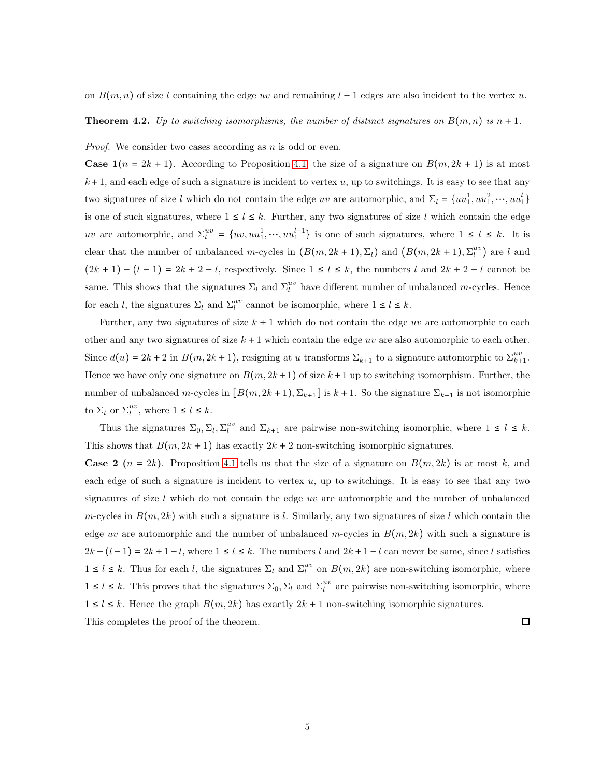on  $B(m, n)$  of size l containing the edge uv and remaining l – 1 edges are also incident to the vertex u.

**Theorem 4.2.** Up to switching isomorphisms, the number of distinct signatures on  $B(m, n)$  is  $n + 1$ .

*Proof.* We consider two cases according as *n* is odd or even.

**Case 1**( $n = 2k + 1$ ). According to Proposition [4.1,](#page-3-0) the size of a signature on  $B(m, 2k + 1)$  is at most  $k+1$ , and each edge of such a signature is incident to vertex u, up to switchings. It is easy to see that any two signatures of size l which do not contain the edge uv are automorphic, and  $\Sigma_l = \{uu_1^1, uu_1^2, \dots, uu_1^l\}$ is one of such signatures, where  $1 \leq l \leq k$ . Further, any two signatures of size l which contain the edge uv are automorphic, and  $\Sigma_l^{uv} = \{uv, uu_1^1, \cdots, uu_1^{l-1}\}$  is one of such signatures, where  $1 \leq l \leq k$ . It is clear that the number of unbalanced m-cycles in  $(B(m, 2k+1), \Sigma_l)$  and  $(B(m, 2k+1), \Sigma_l^{uv})$  are l and  $(2k + 1) - (l - 1) = 2k + 2 - l$ , respectively. Since  $1 \le l \le k$ , the numbers l and  $2k + 2 - l$  cannot be same. This shows that the signatures  $\Sigma_l$  and  $\Sigma_l^{uv}$  have different number of unbalanced m-cycles. Hence for each l, the signatures  $\Sigma_l$  and  $\Sigma_l^{uv}$  cannot be isomorphic, where  $1 \le l \le k$ .

Further, any two signatures of size  $k + 1$  which do not contain the edge uv are automorphic to each other and any two signatures of size  $k + 1$  which contain the edge uv are also automorphic to each other. Since  $d(u) = 2k + 2$  in  $B(m, 2k + 1)$ , resigning at u transforms  $\Sigma_{k+1}$  to a signature automorphic to  $\Sigma_{k+1}^{uv}$ . Hence we have only one signature on  $B(m, 2k+1)$  of size  $k+1$  up to switching isomorphism. Further, the number of unbalanced m-cycles in  $[B(m, 2k+1), \Sigma_{k+1}]$  is  $k+1$ . So the signature  $\Sigma_{k+1}$  is not isomorphic to  $\Sigma_l$  or  $\Sigma_l^{uv}$ , where  $1 \leq l \leq k$ .

Thus the signatures  $\Sigma_0$ ,  $\Sigma_l$ ,  $\Sigma_l^{uv}$  and  $\Sigma_{k+1}$  are pairwise non-switching isomorphic, where  $1 \leq l \leq k$ . This shows that  $B(m, 2k + 1)$  has exactly  $2k + 2$  non-switching isomorphic signatures.

**Case 2**  $(n = 2k)$ . Proposition [4.1](#page-3-0) tells us that the size of a signature on  $B(m, 2k)$  is at most k, and each edge of such a signature is incident to vertex  $u$ , up to switchings. It is easy to see that any two signatures of size  $l$  which do not contain the edge uv are automorphic and the number of unbalanced m-cycles in  $B(m, 2k)$  with such a signature is l. Similarly, any two signatures of size l which contain the edge uv are automorphic and the number of unbalanced m-cycles in  $B(m, 2k)$  with such a signature is  $2k - (l - 1) = 2k + 1 - l$ , where  $1 \le l \le k$ . The numbers l and  $2k + 1 - l$  can never be same, since l satisfies  $1 \leq l \leq k$ . Thus for each l, the signatures  $\Sigma_l$  and  $\Sigma_l^{uv}$  on  $B(m, 2k)$  are non-switching isomorphic, where  $1 \leq l \leq k$ . This proves that the signatures  $\Sigma_0$ ,  $\Sigma_l$  and  $\Sigma_l^{uv}$  are pairwise non-switching isomorphic, where  $1 \leq l \leq k$ . Hence the graph  $B(m, 2k)$  has exactly  $2k + 1$  non-switching isomorphic signatures. This completes the proof of the theorem.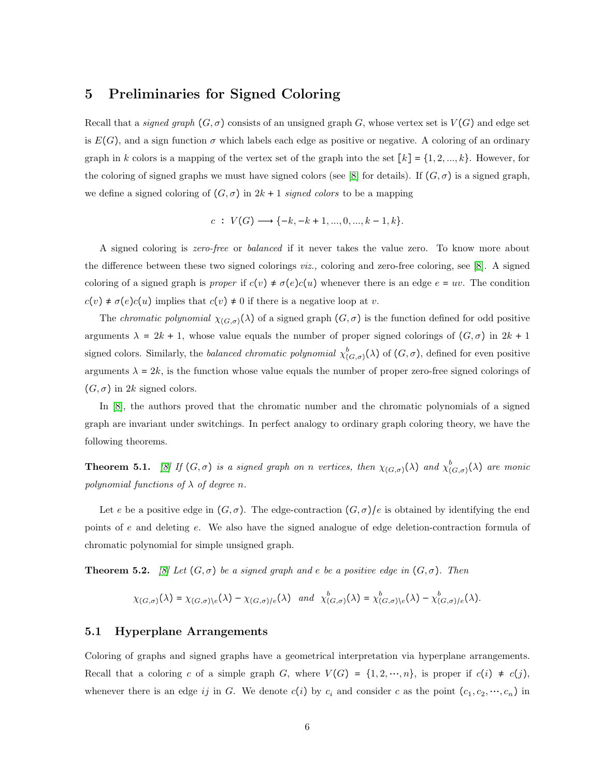# 5 Preliminaries for Signed Coloring

Recall that a *signed graph*  $(G, \sigma)$  consists of an unsigned graph G, whose vertex set is  $V(G)$  and edge set is  $E(G)$ , and a sign function  $\sigma$  which labels each edge as positive or negative. A coloring of an ordinary graph in k colors is a mapping of the vertex set of the graph into the set  $[k] = \{1, 2, ..., k\}$ . However, for the coloring of signed graphs we must have signed colors (see [\[8\]](#page-16-2) for details). If  $(G, \sigma)$  is a signed graph, we define a signed coloring of  $(G, \sigma)$  in  $2k + 1$  *signed colors* to be a mapping

$$
c: V(G) \longrightarrow \{-k, -k+1, ..., 0, ..., k-1, k\}.
$$

A signed coloring is *zero-free* or *balanced* if it never takes the value zero. To know more about the difference between these two signed colorings *viz.,* coloring and zero-free coloring, see [\[8\]](#page-16-2). A signed coloring of a signed graph is *proper* if  $c(v) \neq \sigma(e)c(u)$  whenever there is an edge  $e = uv$ . The condition  $c(v) \neq \sigma(e)c(u)$  implies that  $c(v) \neq 0$  if there is a negative loop at v.

The *chromatic polynomial*  $\chi_{(G,\sigma)}(\lambda)$  of a signed graph  $(G,\sigma)$  is the function defined for odd positive arguments  $\lambda = 2k + 1$ , whose value equals the number of proper signed colorings of  $(G, \sigma)$  in  $2k + 1$ signed colors. Similarly, the *balanced chromatic polynomial*  $\chi^b_{(G,\sigma)}(\lambda)$  of  $(G,\sigma)$ , defined for even positive arguments  $\lambda = 2k$ , is the function whose value equals the number of proper zero-free signed colorings of  $(G, \sigma)$  in 2k signed colors.

In [\[8\]](#page-16-2), the authors proved that the chromatic number and the chromatic polynomials of a signed graph are invariant under switchings. In perfect analogy to ordinary graph coloring theory, we have the following theorems.

**Theorem 5.1.** [\[8\]](#page-16-2) If  $(G, \sigma)$  is a signed graph on n vertices, then  $\chi_{(G,\sigma)}(\lambda)$  and  $\chi_{(G,\sigma)}^b(\lambda)$  are monic *polynomial functions of*  $\lambda$  *of degree n*.

Let e be a positive edge in  $(G, \sigma)$ . The edge-contraction  $(G, \sigma)/e$  is obtained by identifying the end points of e and deleting e. We also have the signed analogue of edge deletion-contraction formula of chromatic polynomial for simple unsigned graph.

<span id="page-5-0"></span>**Theorem 5.2.** *[\[8\]](#page-16-2)* Let  $(G, \sigma)$  be a signed graph and e be a positive edge in  $(G, \sigma)$ . Then

$$
\chi_{(G,\sigma)}(\lambda) = \chi_{(G,\sigma)\backslash e}(\lambda) - \chi_{(G,\sigma)/e}(\lambda) \quad \text{and} \quad \chi^b_{(G,\sigma)}(\lambda) = \chi^b_{(G,\sigma)\backslash e}(\lambda) - \chi^b_{(G,\sigma)/e}(\lambda).
$$

#### 5.1 Hyperplane Arrangements

Coloring of graphs and signed graphs have a geometrical interpretation via hyperplane arrangements. Recall that a coloring c of a simple graph G, where  $V(G) = \{1, 2, \dots, n\}$ , is proper if  $c(i) \neq c(j)$ , whenever there is an edge ij in G. We denote  $c(i)$  by  $c_i$  and consider c as the point  $(c_1, c_2, ..., c_n)$  in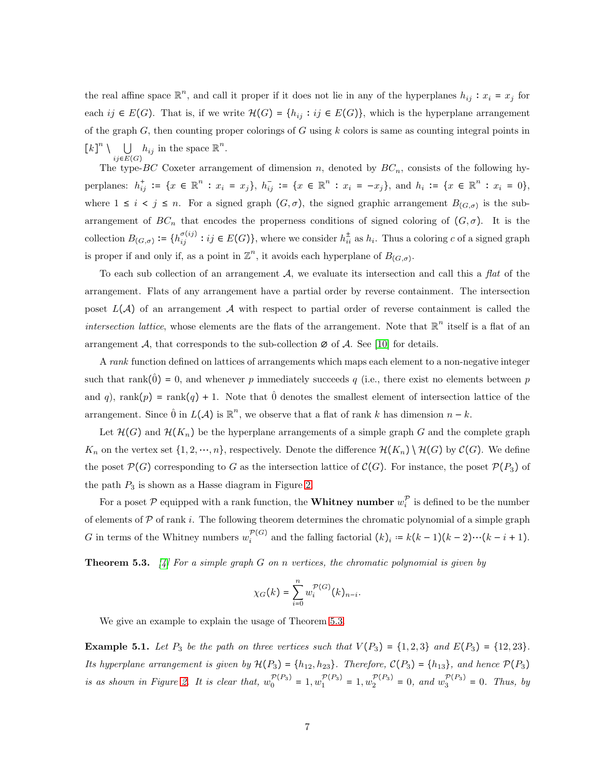the real affine space  $\mathbb{R}^n$ , and call it proper if it does not lie in any of the hyperplanes  $h_{ij}$ :  $x_i = x_j$  for each  $ij \in E(G)$ . That is, if we write  $\mathcal{H}(G) = \{h_{ij} : ij \in E(G)\}$ , which is the hyperplane arrangement of the graph  $G$ , then counting proper colorings of  $G$  using  $k$  colors is same as counting integral points in  $\left[k\right]^n \setminus \bigcup$  $ij∈E(G)$  $h_{ij}$  in the space  $\mathbb{R}^n$ .

The type-BC Coxeter arrangement of dimension n, denoted by  $BC_n$ , consists of the following hyperplanes:  $h_{ij}^+ := \{x \in \mathbb{R}^n : x_i = x_j\}, h_{ij}^- := \{x \in \mathbb{R}^n : x_i = -x_j\}, \text{ and } h_i := \{x \in \mathbb{R}^n : x_i = 0\},\$ where  $1 \leq i \leq j \leq n$ . For a signed graph  $(G, \sigma)$ , the signed graphic arrangement  $B_{(G,\sigma)}$  is the subarrangement of  $BC_n$  that encodes the properness conditions of signed coloring of  $(G, \sigma)$ . It is the collection  $B_{(G,\sigma)} := \{h_{ij}^{\sigma(ij)} : ij \in E(G)\}\$ , where we consider  $h_{ii}^{\pm}$  as  $h_i$ . Thus a coloring c of a signed graph is proper if and only if, as a point in  $\mathbb{Z}^n$ , it avoids each hyperplane of  $B_{(G,\sigma)}$ .

To each sub collection of an arrangement A, we evaluate its intersection and call this a *flat* of the arrangement. Flats of any arrangement have a partial order by reverse containment. The intersection poset  $L(\mathcal{A})$  of an arrangement  $\mathcal A$  with respect to partial order of reverse containment is called the *intersection lattice*, whose elements are the flats of the arrangement. Note that  $\mathbb{R}^n$  itself is a flat of an arrangement  $\mathcal{A}$ , that corresponds to the sub-collection  $\varnothing$  of  $\mathcal{A}$ . See [\[10\]](#page-16-5) for details.

A *rank* function defined on lattices of arrangements which maps each element to a non-negative integer such that rank( $\hat{0}$ ) = 0, and whenever p immediately succeeds q (i.e., there exist no elements between p and q), rank $(p)$  = rank $(q)$  + 1. Note that  $\hat{0}$  denotes the smallest element of intersection lattice of the arrangement. Since  $\hat{0}$  in  $L(\mathcal{A})$  is  $\mathbb{R}^n$ , we observe that a flat of rank k has dimension  $n - k$ .

Let  $\mathcal{H}(G)$  and  $\mathcal{H}(K_n)$  be the hyperplane arrangements of a simple graph G and the complete graph  $K_n$  on the vertex set  $\{1, 2, \dots, n\}$ , respectively. Denote the difference  $\mathcal{H}(K_n) \setminus \mathcal{H}(G)$  by  $\mathcal{C}(G)$ . We define the poset  $\mathcal{P}(G)$  corresponding to G as the intersection lattice of  $\mathcal{C}(G)$ . For instance, the poset  $\mathcal{P}(P_3)$  of the path  $P_3$  is shown as a Hasse diagram in Figure [2.](#page-7-0)

For a poset  $P$  equipped with a rank function, the **Whitney number**  $w_i^{\mathcal{P}}$  $i$  is defined to be the number of elements of  $\mathcal P$  of rank i. The following theorem determines the chromatic polynomial of a simple graph G in terms of the Whitney numbers  $w_i^{\mathcal{P}(G)}$  and the falling factorial  $(k)_i = k(k-1)(k-2)\cdots(k-i+1)$ .

<span id="page-6-0"></span>Theorem 5.3. *[\[4\]](#page-16-6) For a simple graph* G *on* n *vertices, the chromatic polynomial is given by*

$$
\chi_G(k)=\sum_{i=0}^n w_i^{\mathcal{P}(G)}(k)_{n-i}.
$$

We give an example to explain the usage of Theorem [5.3.](#page-6-0)

**Example 5.1.** Let  $P_3$  be the path on three vertices such that  $V(P_3) = \{1, 2, 3\}$  and  $E(P_3) = \{12, 23\}$ . *Its hyperplane arrangement is given by*  $H(P_3) = \{h_{12}, h_{23}\}$ *. Therefore,*  $C(P_3) = \{h_{13}\}$ *, and hence*  $P(P_3)$ *is as shown in Figure [2.](#page-7-0) It is clear that,*  $w_0^{P(P_3)} = 1, w_1^{P(P_3)} = 1, w_2^{P(P_3)} = 0$ , and  $w_3^{P(P_3)} = 0$ . Thus, by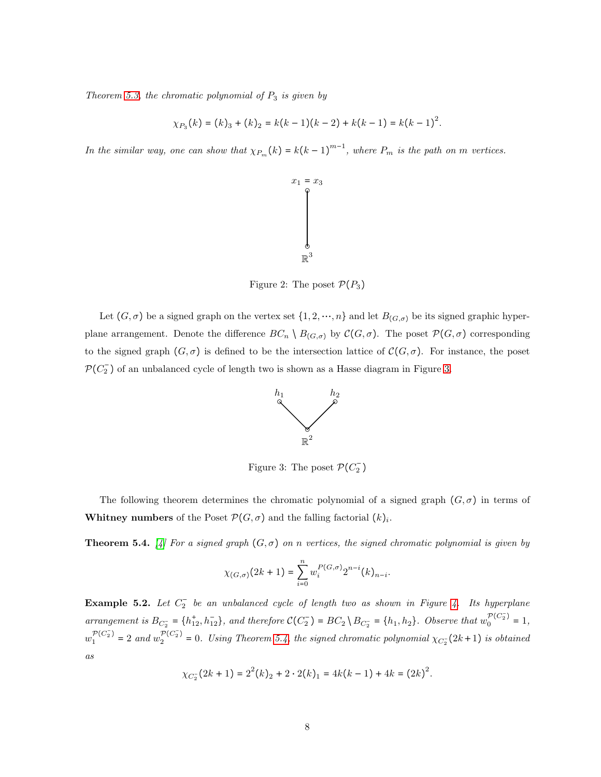*Theorem [5.3,](#page-6-0) the chromatic polynomial of* P<sup>3</sup> *is given by*

$$
\chi_{P_3}(k) = (k)_3 + (k)_2 = k(k-1)(k-2) + k(k-1) = k(k-1)^2.
$$

<span id="page-7-0"></span>*In the similar way, one can show that*  $\chi_{P_m}(k) = k(k-1)^{m-1}$ *, where*  $P_m$  *is the path on m vertices.* 



Figure 2: The poset  $\mathcal{P}(P_3)$ 

<span id="page-7-1"></span>Let  $(G, \sigma)$  be a signed graph on the vertex set  $\{1, 2, \dots, n\}$  and let  $B_{(G,\sigma)}$  be its signed graphic hyperplane arrangement. Denote the difference  $BC_n \setminus B_{(G,\sigma)}$  by  $\mathcal{C}(G,\sigma)$ . The poset  $\mathcal{P}(G,\sigma)$  corresponding to the signed graph  $(G, \sigma)$  is defined to be the intersection lattice of  $\mathcal{C}(G, \sigma)$ . For instance, the poset  $\mathcal{P}(C_2^-)$  of an unbalanced cycle of length two is shown as a Hasse diagram in Figure [3.](#page-7-1)



Figure 3: The poset  $\mathcal{P}(C_2^-)$ 

The following theorem determines the chromatic polynomial of a signed graph  $(G, \sigma)$  in terms of **Whitney numbers** of the Poset  $\mathcal{P}(G,\sigma)$  and the falling factorial  $(k)_i$ .

<span id="page-7-2"></span>**Theorem 5.4.** *[\[4\]](#page-16-6)* For a signed graph  $(G, \sigma)$  on n vertices, the signed chromatic polynomial is given by

$$
\chi_{(G,\sigma)}(2k+1) = \sum_{i=0}^n w_i^{P(G,\sigma)} 2^{n-i} (k)_{n-i}.
$$

<span id="page-7-3"></span>Example 5.2. *Let* C − <sup>2</sup> *be an unbalanced cycle of length two as shown in Figure [4.](#page-8-0) Its hyperplane arrangement is*  $B_{C_2^-} = \{h_{12}^+, h_{12}^-\}$ , and therefore  $\mathcal{C}(C_2^-) = BC_2 \setminus B_{C_2^-} = \{h_1, h_2\}$ . Observe that  $w_0^{\mathcal{P}(C_2^-)} = 1$ ,  $w_1^{\mathcal{P}(C_2^-)} = 2$  and  $w_2^{\mathcal{P}(C_2^-)} = 0$ . Using Theorem [5.4,](#page-7-2) the signed chromatic polynomial  $\chi_{C_2^-}(2k+1)$  is obtained *as*

$$
\chi_{C_2}(2k+1) = 2^2(k)_2 + 2 \cdot 2(k)_1 = 4k(k-1) + 4k = (2k)^2.
$$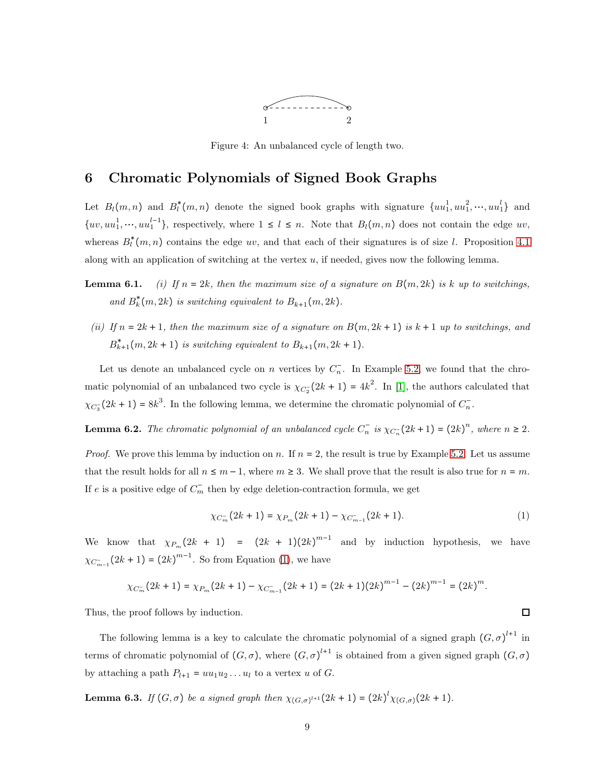

Figure 4: An unbalanced cycle of length two.

### <span id="page-8-4"></span><span id="page-8-0"></span>6 Chromatic Polynomials of Signed Book Graphs

Let  $B_l(m,n)$  and  $B_l^*(m,n)$  denote the signed book graphs with signature  $\{uu_1^1, uu_1^2, \dots, uu_1^l\}$  and  $\{uv, uu_1^1, \dots, uu_1^{l-1}\},$  respectively, where  $1 \leq l \leq n$ . Note that  $B_l(m,n)$  does not contain the edge uv, whereas  $B_l^*(m, n)$  contains the edge uv, and that each of their signatures is of size l. Proposition [4.1](#page-3-0) along with an application of switching at the vertex  $u$ , if needed, gives now the following lemma.

- **Lemma 6.1.** *(i)* If  $n = 2k$ , then the maximum size of a signature on  $B(m, 2k)$  is k up to switchings, and  $B_k^*(m, 2k)$  *is switching equivalent to*  $B_{k+1}(m, 2k)$ *.*
- *(ii)* If  $n = 2k + 1$ , then the maximum size of a signature on  $B(m, 2k + 1)$  is  $k + 1$  up to switchings, and  $B_{k+1}^*(m, 2k+1)$  *is switching equivalent to*  $B_{k+1}(m, 2k+1)$ *.*

Let us denote an unbalanced cycle on n vertices by  $C_n$ . In Example [5.2,](#page-7-3) we found that the chromatic polynomial of an unbalanced two cycle is  $\chi_{C_2}$  (2k + 1) = 4k<sup>2</sup>. In [\[1\]](#page-16-4), the authors calculated that  $\chi_{C_3^-}(2k+1) = 8k^3$ . In the following lemma, we determine the chromatic polynomial of  $C_n^-$ .

<span id="page-8-3"></span>**Lemma 6.2.** The chromatic polynomial of an unbalanced cycle  $C_n$  is  $\chi_{C_n} (2k+1) = (2k)^n$ , where  $n \geq 2$ .

*Proof.* We prove this lemma by induction on n. If  $n = 2$ , the result is true by Example [5.2.](#page-7-3) Let us assume that the result holds for all  $n \leq m-1$ , where  $m \geq 3$ . We shall prove that the result is also true for  $n = m$ . If e is a positive edge of  $\overline{C_m}$  then by edge deletion-contraction formula, we get

<span id="page-8-1"></span>
$$
\chi_{C_m^-}(2k+1) = \chi_{P_m}(2k+1) - \chi_{C_{m-1}^-}(2k+1). \tag{1}
$$

We know that  $\chi_{P_m}(2k + 1) = (2k + 1)(2k)^{m-1}$  and by induction hypothesis, we have  $\chi_{C_{m-1}^{-}}(2k+1) = (2k)^{m-1}$ . So from Equation [\(1\)](#page-8-1), we have

$$
\chi_{C_m^-}(2k+1) = \chi_{P_m}(2k+1) - \chi_{C_{m-1}^-}(2k+1) = (2k+1)(2k)^{m-1} - (2k)^{m-1} = (2k)^m.
$$

Thus, the proof follows by induction.

The following lemma is a key to calculate the chromatic polynomial of a signed graph  $(G, \sigma)^{l+1}$  in terms of chromatic polynomial of  $(G, \sigma)$ , where  $(G, \sigma)^{l+1}$  is obtained from a given signed graph  $(G, \sigma)$ by attaching a path  $P_{l+1} = uu_1u_2\ldots u_l$  to a vertex u of G.

<span id="page-8-2"></span>**Lemma 6.3.** *If*  $(G, \sigma)$  *be a signed graph then*  $\chi_{(G, \sigma)^{l+1}}(2k+1) = (2k)^{l} \chi_{(G, \sigma)}(2k+1)$ *.*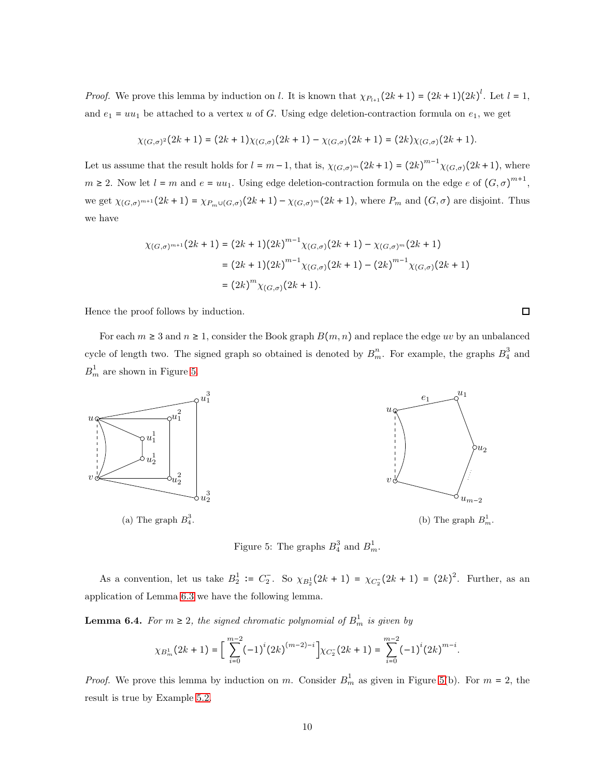*Proof.* We prove this lemma by induction on l. It is known that  $\chi_{P_{l+1}}(2k+1) = (2k+1)(2k)^l$ . Let  $l = 1$ , and  $e_1 = uu_1$  be attached to a vertex u of G. Using edge deletion-contraction formula on  $e_1$ , we get

$$
\chi_{(G,\sigma)^2}(2k+1) = (2k+1)\chi_{(G,\sigma)}(2k+1) - \chi_{(G,\sigma)}(2k+1) = (2k)\chi_{(G,\sigma)}(2k+1).
$$

Let us assume that the result holds for  $l = m-1$ , that is,  $\chi_{(G,\sigma)^m}(2k+1) = (2k)^{m-1}\chi_{(G,\sigma)}(2k+1)$ , where  $m \geq 2$ . Now let  $l = m$  and  $e = uu_1$ . Using edge deletion-contraction formula on the edge e of  $(G, \sigma)^{m+1}$ , we get  $\chi_{(G,\sigma)^{m+1}}(2k+1) = \chi_{P_m\cup(G,\sigma)}(2k+1) - \chi_{(G,\sigma)^m}(2k+1)$ , where  $P_m$  and  $(G,\sigma)$  are disjoint. Thus we have

$$
\chi_{(G,\sigma)^{m+1}}(2k+1) = (2k+1)(2k)^{m-1}\chi_{(G,\sigma)}(2k+1) - \chi_{(G,\sigma)^m}(2k+1)
$$

$$
= (2k+1)(2k)^{m-1}\chi_{(G,\sigma)}(2k+1) - (2k)^{m-1}\chi_{(G,\sigma)}(2k+1)
$$

$$
= (2k)^m\chi_{(G,\sigma)}(2k+1).
$$

Hence the proof follows by induction.

For each  $m \geq 3$  and  $n \geq 1$ , consider the Book graph  $B(m, n)$  and replace the edge uv by an unbalanced cycle of length two. The signed graph so obtained is denoted by  $B_m^n$ . For example, the graphs  $B_4^3$  and  $B_m^1$  are shown in Figure [5.](#page-9-0)

<span id="page-9-0"></span>

Figure 5: The graphs  $B_4^3$  and  $B_m^1$ .

As a convention, let us take  $B_2^1 := C_2^-$ . So  $\chi_{B_2^1}(2k+1) = \chi_{C_2^1}(2k+1) = (2k)^2$ . Further, as an application of Lemma [6.3](#page-8-2) we have the following lemma.

<span id="page-9-1"></span>**Lemma 6.4.** For  $m \geq 2$ , the signed chromatic polynomial of  $B_m^1$  is given by

$$
\chi_{B_m^1}(2k+1)=\bigg[\sum_{i=0}^{m-2}(-1)^i(2k)^{(m-2)-i}\bigg]\chi_{C_2^-}(2k+1)=\sum_{i=0}^{m-2}(-1)^i(2k)^{m-i}.
$$

*Proof.* We prove this lemma by induction on m. Consider  $B_m^1$  as given in Figure [5\(](#page-9-0)b). For  $m = 2$ , the result is true by Example [5.2.](#page-7-3)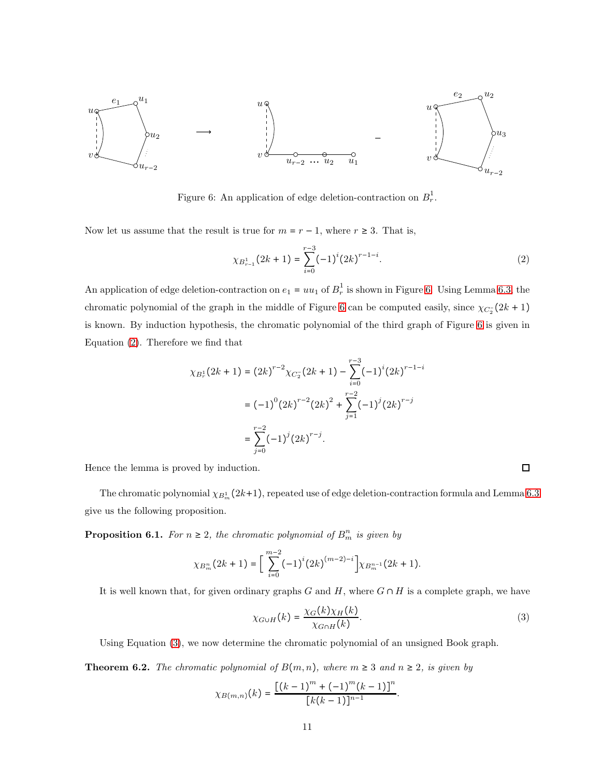<span id="page-10-0"></span>

Figure 6: An application of edge deletion-contraction on  $B_r^1$  $\frac{1}{r}$ .

Now let us assume that the result is true for  $m = r - 1$ , where  $r \geq 3$ . That is,

<span id="page-10-1"></span>
$$
\chi_{B_{r-1}^1}(2k+1) = \sum_{i=0}^{r-3} (-1)^i (2k)^{r-1-i}.
$$
 (2)

An application of edge deletion-contraction on  $e_1 = uu_1$  of  $B_r^1$  $r^1$  is shown in Figure [6.](#page-10-0) Using Lemma [6.3,](#page-8-2) the chromatic polynomial of the graph in the middle of Figure [6](#page-10-0) can be computed easily, since  $\chi_{C_2^{\tau}}(2k+1)$ is known. By induction hypothesis, the chromatic polynomial of the third graph of Figure [6](#page-10-0) is given in Equation [\(2\)](#page-10-1). Therefore we find that

$$
\chi_{B_r^1}(2k+1) = (2k)^{r-2} \chi_{C_2^-}(2k+1) - \sum_{i=0}^{r-3} (-1)^i (2k)^{r-1-i}
$$
  
=  $(-1)^0 (2k)^{r-2} (2k)^2 + \sum_{j=1}^{r-2} (-1)^j (2k)^{r-j}$   
=  $\sum_{j=0}^{r-2} (-1)^j (2k)^{r-j}.$ 

Hence the lemma is proved by induction.

The chromatic polynomial  $\chi_{B_m^1}(2k+1)$ , repeated use of edge deletion-contraction formula and Lemma [6.3](#page-8-2) give us the following proposition.

**Proposition 6.1.** For  $n \geq 2$ , the chromatic polynomial of  $B_m^n$  is given by

$$
\chi_{B_m^n}(2k+1) = \bigg[\sum_{i=0}^{m-2} (-1)^i (2k)^{(m-2)-i}\bigg] \chi_{B_m^{n-1}}(2k+1).
$$

It is well known that, for given ordinary graphs G and H, where  $G \cap H$  is a complete graph, we have

<span id="page-10-2"></span>
$$
\chi_{G \cup H}(k) = \frac{\chi_G(k)\chi_H(k)}{\chi_{G \cap H}(k)}.
$$
\n(3)

.

Using Equation [\(3\)](#page-10-2), we now determine the chromatic polynomial of an unsigned Book graph.

**Theorem 6.2.** *The chromatic polynomial of*  $B(m, n)$ *, where*  $m \geq 3$  *and*  $n \geq 2$ *, is given by* 

$$
\chi_{B(m,n)}(k) = \frac{\left[ (k-1)^m + (-1)^m (k-1) \right]^n}{[k(k-1)]^{n-1}}
$$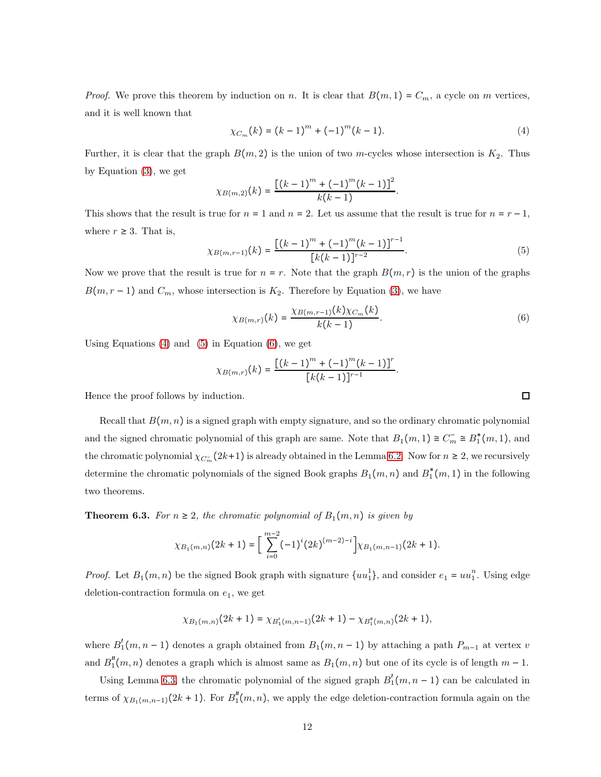*Proof.* We prove this theorem by induction on n. It is clear that  $B(m, 1) = C_m$ , a cycle on m vertices, and it is well known that

<span id="page-11-0"></span>
$$
\chi_{C_m}(k) = (k-1)^m + (-1)^m (k-1). \tag{4}
$$

Further, it is clear that the graph  $B(m, 2)$  is the union of two m-cycles whose intersection is  $K_2$ . Thus by Equation [\(3\)](#page-10-2), we get

$$
\chi_{B(m,2)}(k) = \frac{\left[ (k-1)^m + (-1)^m (k-1) \right]^2}{k(k-1)}.
$$

This shows that the result is true for  $n = 1$  and  $n = 2$ . Let us assume that the result is true for  $n = r - 1$ , where  $r \geq 3$ . That is,

<span id="page-11-1"></span>
$$
\chi_{B(m,r-1)}(k) = \frac{\left[ (k-1)^m + (-1)^m (k-1) \right]^{r-1}}{\left[ k(k-1) \right]^{r-2}}.
$$
\n(5)

Now we prove that the result is true for  $n = r$ . Note that the graph  $B(m, r)$  is the union of the graphs  $B(m, r - 1)$  and  $C_m$ , whose intersection is  $K_2$ . Therefore by Equation [\(3\)](#page-10-2), we have

<span id="page-11-2"></span>
$$
\chi_{B(m,r)}(k) = \frac{\chi_{B(m,r-1)}(k)\chi_{C_m}(k)}{k(k-1)}.
$$
\n(6)

Using Equations  $(4)$  and  $(5)$  in Equation  $(6)$ , we get

$$
\chi_{B(m,r)}(k) = \frac{[(k-1)^m + (-1)^m(k-1)]^r}{[k(k-1)]^{r-1}}.
$$

Hence the proof follows by induction.

Recall that  $B(m, n)$  is a signed graph with empty signature, and so the ordinary chromatic polynomial and the signed chromatic polynomial of this graph are same. Note that  $B_1(m, 1) \cong C_m^- \cong B_1^*(m, 1)$ , and the chromatic polynomial  $\chi_{C_m^-}(2k+1)$  is already obtained in the Lemma [6.2.](#page-8-3) Now for  $n \geq 2$ , we recursively determine the chromatic polynomials of the signed Book graphs  $B_1(m, n)$  and  $B_1^*(m, 1)$  in the following two theorems.

<span id="page-11-3"></span>**Theorem 6.3.** *For*  $n \geq 2$ *, the chromatic polynomial of*  $B_1(m, n)$  *is given by* 

$$
\chi_{B_1(m,n)}(2k+1) = \left[\sum_{i=0}^{m-2} (-1)^i (2k)^{(m-2)-i}\right] \chi_{B_1(m,n-1)}(2k+1).
$$

*Proof.* Let  $B_1(m, n)$  be the signed Book graph with signature  $\{uu_1^1\}$ , and consider  $e_1 = uu_1^n$ . Using edge deletion-contraction formula on  $e_1$ , we get

$$
\chi_{B_1(m,n)}(2k+1) = \chi_{B'_1(m,n-1)}(2k+1) - \chi_{B''_1(m,n)}(2k+1),
$$

where  $B'_1(m, n-1)$  denotes a graph obtained from  $B_1(m, n-1)$  by attaching a path  $P_{m-1}$  at vertex v and  $B''_1(m,n)$  denotes a graph which is almost same as  $B_1(m,n)$  but one of its cycle is of length  $m-1$ .

Using Lemma [6.3,](#page-8-2) the chromatic polynomial of the signed graph  $B'_1(m, n-1)$  can be calculated in terms of  $\chi_{B_1(m,n-1)}(2k+1)$ . For  $B_1''(m,n)$ , we apply the edge deletion-contraction formula again on the

□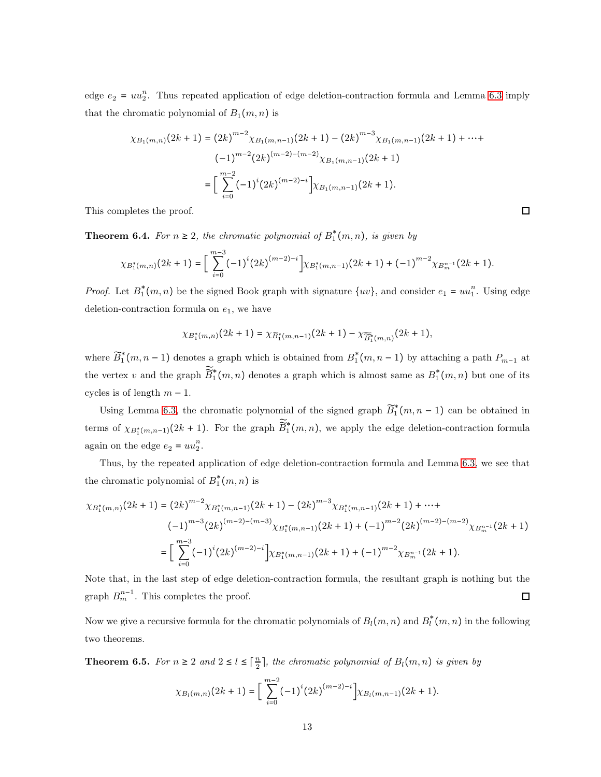edge  $e_2 = uu_2^n$ . Thus repeated application of edge deletion-contraction formula and Lemma [6.3](#page-8-2) imply that the chromatic polynomial of  $B_1(m, n)$  is

$$
\chi_{B_1(m,n)}(2k+1) = (2k)^{m-2} \chi_{B_1(m,n-1)}(2k+1) - (2k)^{m-3} \chi_{B_1(m,n-1)}(2k+1) + \cdots + (-1)^{m-2} (2k)^{(m-2)-(m-2)} \chi_{B_1(m,n-1)}(2k+1)
$$

$$
= \left[ \sum_{i=0}^{m-2} (-1)^i (2k)^{(m-2)-i} \right] \chi_{B_1(m,n-1)}(2k+1).
$$

This completes the proof.

**Theorem 6.4.** *For*  $n \geq 2$ *, the chromatic polynomial of*  $B_1^*(m, n)$ *, is given by* 

$$
\chi_{B_1^*(m,n)}(2k+1) = \bigg[\sum_{i=0}^{m-3} (-1)^i (2k)^{(m-2)-i} \bigg] \chi_{B_1^*(m,n-1)}(2k+1) + (-1)^{m-2} \chi_{B_m^{n-1}}(2k+1).
$$

*Proof.* Let  $B_1^*(m, n)$  be the signed Book graph with signature  $\{uv\}$ , and consider  $e_1 = uu_1^n$ . Using edge deletion-contraction formula on  $e_1$ , we have

$$
\chi_{B_1^*(m,n)}(2k+1) = \chi_{\widetilde{B}_1^*(m,n-1)}(2k+1) - \chi_{\widetilde{B}_1^*(m,n)}(2k+1),
$$

where  $\widetilde{B}_1^*(m, n-1)$  denotes a graph which is obtained from  $B_1^*(m, n-1)$  by attaching a path  $P_{m-1}$  at the vertex v and the graph  $\widetilde{B}_1^*(m,n)$  denotes a graph which is almost same as  $B_1^*(m,n)$  but one of its cycles is of length  $m-1$ .

Using Lemma [6.3,](#page-8-2) the chromatic polynomial of the signed graph  $\widetilde{B}_1^*(m, n-1)$  can be obtained in terms of  $\chi_{B_1^*(m,n-1)}(2k+1)$ . For the graph  $\widetilde{B}_1^*(m,n)$ , we apply the edge deletion-contraction formula again on the edge  $e_2 = uu_2^n$ .

Thus, by the repeated application of edge deletion-contraction formula and Lemma [6.3,](#page-8-2) we see that the chromatic polynomial of  $B_1^*(m, n)$  is

$$
\chi_{B_1^*(m,n)}(2k+1) = (2k)^{m-2} \chi_{B_1^*(m,n-1)}(2k+1) - (2k)^{m-3} \chi_{B_1^*(m,n-1)}(2k+1) + \cdots + (-1)^{m-3} (2k)^{(m-2)-(m-3)} \chi_{B_1^*(m,n-1)}(2k+1) + (-1)^{m-2} (2k)^{(m-2)-(m-2)} \chi_{B_m^{n-1}}(2k+1)
$$
  
= 
$$
\left[ \sum_{i=0}^{m-3} (-1)^i (2k)^{(m-2)-i} \right] \chi_{B_1^*(m,n-1)}(2k+1) + (-1)^{m-2} \chi_{B_m^{n-1}}(2k+1).
$$

Note that, in the last step of edge deletion-contraction formula, the resultant graph is nothing but the graph  $B_m^{n-1}$ . This completes the proof.  $\Box$ 

Now we give a recursive formula for the chromatic polynomials of  $B_l(m, n)$  and  $B_l^*(m, n)$  in the following two theorems.

<span id="page-12-0"></span>**Theorem 6.5.** For  $n \geq 2$  and  $2 \leq l \leq \lceil \frac{n}{2} \rceil$ , the chromatic polynomial of  $B_l(m, n)$  is given by

$$
\chi_{B_l(m,n)}(2k+1) = \bigg[\sum_{i=0}^{m-2} (-1)^i (2k)^{(m-2)-i}\bigg] \chi_{B_l(m,n-1)}(2k+1).
$$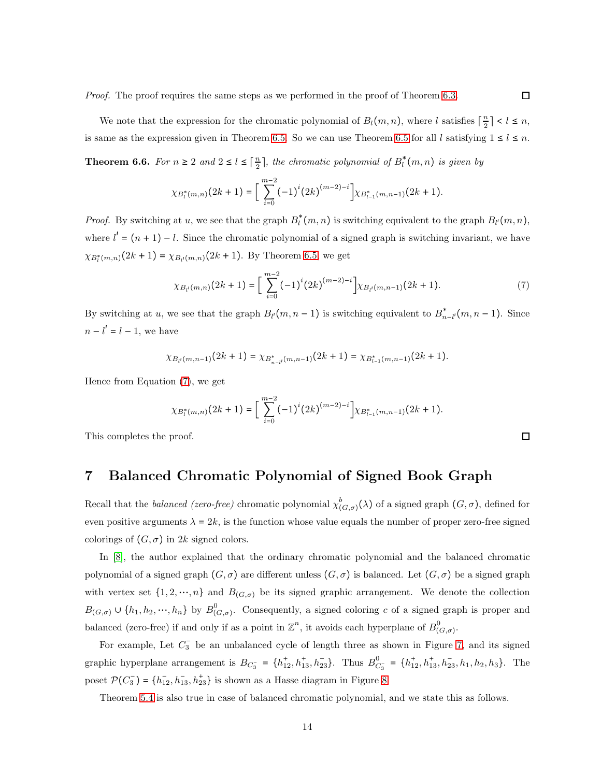We note that the expression for the chromatic polynomial of  $B_l(m, n)$ , where l satisfies  $\lceil \frac{n}{2} \rceil < l \leq n$ , is same as the expression given in Theorem [6.5.](#page-12-0) So we can use Theorem [6.5](#page-12-0) for all l satisfying  $1 \leq l \leq n$ .

**Theorem 6.6.** For  $n \geq 2$  and  $2 \leq l \leq \lceil \frac{n}{2} \rceil$ , the chromatic polynomial of  $B_l^*(m, n)$  is given by

$$
\chi_{B^*_l(m,n)}(2k+1)=\bigg[\sum_{i=0}^{m-2}(-1)^i(2k)^{(m-2)-i}\bigg]\chi_{B^*_{l-1}(m,n-1)}(2k+1).
$$

*Proof.* By switching at u, we see that the graph  $B_l^*(m, n)$  is switching equivalent to the graph  $B_l^*(m, n)$ , where  $l' = (n + 1) - l$ . Since the chromatic polynomial of a signed graph is switching invariant, we have  $\chi_{B_{l}^{*}(m,n)}(2k+1) = \chi_{B_{l'}(m,n)}(2k+1)$ . By Theorem [6.5,](#page-12-0) we get

<span id="page-13-0"></span>
$$
\chi_{B_{l'}(m,n)}(2k+1) = \bigg[\sum_{i=0}^{m-2} (-1)^i (2k)^{(m-2)-i}\bigg] \chi_{B_{l'}(m,n-1)}(2k+1). \tag{7}
$$

By switching at u, we see that the graph  $B_{l'}(m, n-1)$  is switching equivalent to  $B_{n-l'}^*(m, n-1)$ . Since  $n - l' = l - 1$ , we have

$$
\chi_{B_{t'}(m,n-1)}(2k+1)=\chi_{B_{n-t'}^*(m,n-1)}(2k+1)=\chi_{B_{t-1}^*(m,n-1)}(2k+1).
$$

Hence from Equation [\(7\)](#page-13-0), we get

$$
\chi_{B_l^*(m,n)}(2k+1) = \bigg[\sum_{i=0}^{m-2} (-1)^i (2k)^{(m-2)-i}\bigg] \chi_{B_{l-1}^*(m,n-1)}(2k+1).
$$

This completes the proof.

# 7 Balanced Chromatic Polynomial of Signed Book Graph

Recall that the *balanced (zero-free)* chromatic polynomial  $\chi^b_{(G,\sigma)}(\lambda)$  of a signed graph  $(G,\sigma)$ , defined for even positive arguments  $\lambda = 2k$ , is the function whose value equals the number of proper zero-free signed colorings of  $(G, \sigma)$  in 2k signed colors.

In [\[8\]](#page-16-2), the author explained that the ordinary chromatic polynomial and the balanced chromatic polynomial of a signed graph  $(G, \sigma)$  are different unless  $(G, \sigma)$  is balanced. Let  $(G, \sigma)$  be a signed graph with vertex set  $\{1, 2, \dots, n\}$  and  $B_{(G,\sigma)}$  be its signed graphic arrangement. We denote the collection  $B_{(G,\sigma)} \cup \{h_1, h_2, \dots, h_n\}$  by  $B_{(G,\sigma)}^0$  $(G, \sigma)$ . Consequently, a signed coloring c of a signed graph is proper and balanced (zero-free) if and only if as a point in  $\mathbb{Z}^n$ , it avoids each hyperplane of  $B^0_{(0)}$  $(G,\sigma)$ .

For example, Let  $C_3^-$  be an unbalanced cycle of length three as shown in Figure [7,](#page-14-0) and its signed graphic hyperplane arrangement is  $B_{C_3} = \{h_{12}^+, h_{13}^+, h_{23}^-\}$ . Thus  $B_C^0$  $C_3^-$  = { $h_{12}^+, h_{13}^+, h_{23}^-, h_1, h_2, h_3$ }. The poset  $\mathcal{P}(C_3^-) = \{h_{12}^-, h_{13}^-, h_{23}^+\}$  is shown as a Hasse diagram in Figure [8](#page-14-1)

Theorem [5.4](#page-7-2) is also true in case of balanced chromatic polynomial, and we state this as follows.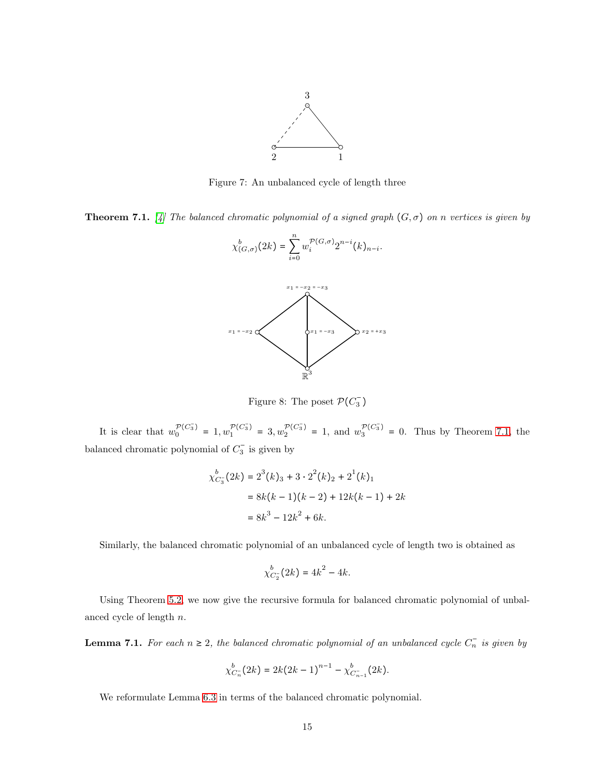

Figure 7: An unbalanced cycle of length three

<span id="page-14-2"></span><span id="page-14-1"></span><span id="page-14-0"></span>**Theorem 7.1.** [\[4\]](#page-16-6) The balanced chromatic polynomial of a signed graph  $(G, \sigma)$  on n vertices is given by

n



Figure 8: The poset  $\mathcal{P}(C_3^-)$ 

It is clear that  $w_0^{\mathcal{P}(C_3^-)} = 1, w_1^{\mathcal{P}(C_3^-)} = 3, w_2^{\mathcal{P}(C_3^-)} = 1$ , and  $w_3^{\mathcal{P}(C_3^-)} = 0$ . Thus by Theorem [7.1,](#page-14-2) the balanced chromatic polynomial of  $C_3^-$  is given by

$$
\chi_{C_3}^b(2k) = 2^3(k)_3 + 3 \cdot 2^2(k)_2 + 2^1(k)_1
$$
  
= 8k(k - 1)(k - 2) + 12k(k - 1) + 2k  
= 8k<sup>3</sup> - 12k<sup>2</sup> + 6k.

Similarly, the balanced chromatic polynomial of an unbalanced cycle of length two is obtained as

$$
\chi_{C_2}^b(2k) = 4k^2 - 4k.
$$

Using Theorem [5.2,](#page-5-0) we now give the recursive formula for balanced chromatic polynomial of unbalanced cycle of length n.

**Lemma 7.1.** For each  $n \geq 2$ , the balanced chromatic polynomial of an unbalanced cycle  $C_n^-$  is given by

$$
\chi_{C_n}^b(2k) = 2k(2k-1)^{n-1} - \chi_{C_{n-1}}^b(2k).
$$

We reformulate Lemma [6.3](#page-8-2) in terms of the balanced chromatic polynomial.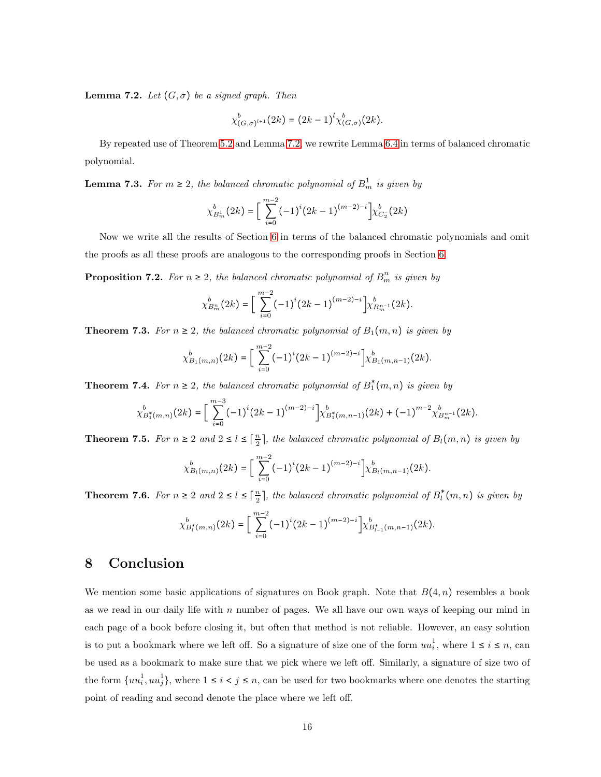<span id="page-15-0"></span>**Lemma 7.2.** *Let*  $(G, \sigma)$  *be a signed graph. Then* 

$$
\chi_{(G,\sigma)^{l+1}}^b(2k) = (2k-1)^l \chi_{(G,\sigma)}^b(2k).
$$

By repeated use of Theorem [5.2](#page-5-0) and Lemma [7.2,](#page-15-0) we rewrite Lemma [6.4](#page-9-1) in terms of balanced chromatic polynomial.

**Lemma 7.3.** For  $m \geq 2$ , the balanced chromatic polynomial of  $B_m^1$  is given by

$$
\chi_{B_m^1}^b(2k)=\bigg[\sum_{i=0}^{m-2}(-1)^i(2k-1)^{(m-2)-i}\bigg]\chi_{C_2^-}^b(2k)
$$

Now we write all the results of Section [6](#page-8-4) in terms of the balanced chromatic polynomials and omit the proofs as all these proofs are analogous to the corresponding proofs in Section [6.](#page-8-4)

**Proposition 7.2.** For  $n \geq 2$ , the balanced chromatic polynomial of  $B_m^n$  is given by

$$
\chi_{B_m^n}^b(2k) = \bigg[\sum_{i=0}^{m-2} (-1)^i (2k-1)^{(m-2)-i}\bigg] \chi_{B_m^{n-1}}^b(2k).
$$

**Theorem 7.3.** *For*  $n \geq 2$ *, the balanced chromatic polynomial of*  $B_1(m, n)$  *is given by* 

$$
\chi_{B_1(m,n)}^b(2k) = \bigg[\sum_{i=0}^{m-2} (-1)^i (2k-1)^{(m-2)-i} \bigg] \chi_{B_1(m,n-1)}^b(2k).
$$

**Theorem 7.4.** For  $n \geq 2$ , the balanced chromatic polynomial of  $B_1^*(m, n)$  is given by

$$
\chi_{B_1^*(m,n)}^b(2k) = \left[ \sum_{i=0}^{m-3} (-1)^i (2k-1)^{(m-2)-i} \right] \chi_{B_1^*(m,n-1)}^b(2k) + (-1)^{m-2} \chi_{B_m^{n-1}}^b(2k).
$$

**Theorem 7.5.** For  $n \geq 2$  and  $2 \leq l \leq \lceil \frac{n}{2} \rceil$ , the balanced chromatic polynomial of  $B_l(m, n)$  is given by

$$
\chi_{B_l(m,n)}^b(2k) = \left[ \sum_{i=0}^{m-2} (-1)^i (2k-1)^{(m-2)-i} \right] \chi_{B_l(m,n-1)}^b(2k).
$$

**Theorem 7.6.** For  $n \geq 2$  and  $2 \leq l \leq \lceil \frac{n}{2} \rceil$ , the balanced chromatic polynomial of  $B_l^*(m, n)$  is given by

$$
\chi_{B_l^*(m,n)}^b(2k) = \bigg[\sum_{i=0}^{m-2} (-1)^i (2k-1)^{(m-2)-i} \bigg] \chi_{B_{l-1}^*(m,n-1)}^b(2k).
$$

# 8 Conclusion

We mention some basic applications of signatures on Book graph. Note that  $B(4, n)$  resembles a book as we read in our daily life with  $n$  number of pages. We all have our own ways of keeping our mind in each page of a book before closing it, but often that method is not reliable. However, an easy solution is to put a bookmark where we left off. So a signature of size one of the form  $uu_i^1$  $i<sup>1</sup>$ , where  $1 \leq i \leq n$ , can be used as a bookmark to make sure that we pick where we left off. Similarly, a signature of size two of the form  $\{uu_i^1\}$  $\{a_i^1, uu_j^1\}$ , where  $1 \leq i \leq j \leq n$ , can be used for two bookmarks where one denotes the starting point of reading and second denote the place where we left off.